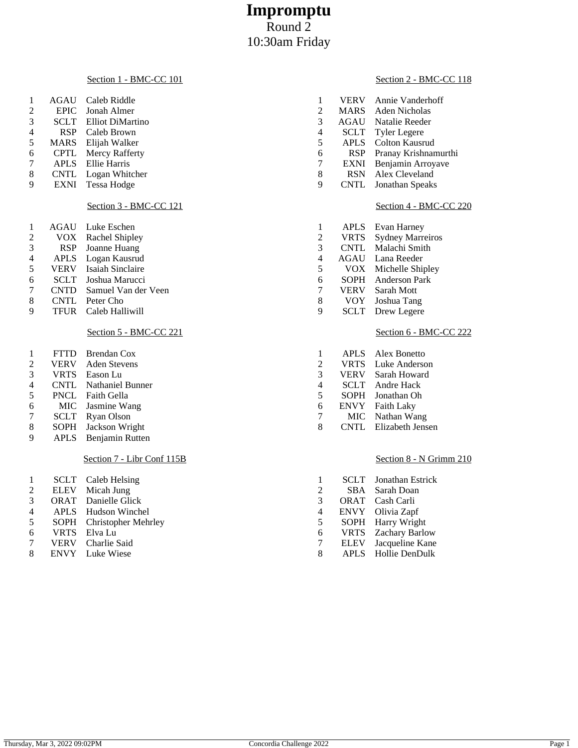# **Impromptu** Round 2 10:30am Friday

# Section 1 - BMC-CC 101

| 1              | <b>AGAU</b> | Caleb Riddle            | 1                       | <b>VERV</b> | Annie Vanderhoff        |
|----------------|-------------|-------------------------|-------------------------|-------------|-------------------------|
| $\mathfrak 2$  | <b>EPIC</b> | Jonah Almer             | $\mathfrak 2$           | <b>MARS</b> | Aden Nicholas           |
| 3              | <b>SCLT</b> | Elliot DiMartino        | 3                       | <b>AGAU</b> | Natalie Reeder          |
| 4              | <b>RSP</b>  | Caleb Brown             | 4                       | <b>SCLT</b> | <b>Tyler Legere</b>     |
| 5              | <b>MARS</b> | Elijah Walker           | 5                       | <b>APLS</b> | <b>Colton Kausrud</b>   |
| 6              | <b>CPTL</b> | Mercy Rafferty          | 6                       | <b>RSP</b>  | Pranay Krishnamu        |
| 7              | <b>APLS</b> | Ellie Harris            | 7                       | <b>EXNI</b> | Benjamin Arroyav        |
| $8\,$          | <b>CNTL</b> | Logan Whitcher          | 8                       | <b>RSN</b>  | Alex Cleveland          |
| 9              | <b>EXNI</b> | <b>Tessa Hodge</b>      | 9                       | <b>CNTL</b> | Jonathan Speaks         |
|                |             | Section 3 - BMC-CC 121  |                         |             | Section 4 - BMC-0       |
| 1              | <b>AGAU</b> | Luke Eschen             | 1                       | <b>APLS</b> | Evan Harney             |
| 2              | VOX.        | <b>Rachel Shipley</b>   | $\overline{c}$          | <b>VRTS</b> | <b>Sydney Marreiros</b> |
| 3              | <b>RSP</b>  | Joanne Huang            | 3                       | <b>CNTL</b> | Malachi Smith           |
| $\overline{4}$ | <b>APLS</b> | Logan Kausrud           | $\overline{4}$          | AGAU        | Lana Reeder             |
| 5              | <b>VERV</b> | <b>Isaiah Sinclaire</b> | 5                       | VOX         | Michelle Shipley        |
| 6              | <b>SCLT</b> | Joshua Marucci          | 6                       | <b>SOPH</b> | Anderson Park           |
| 7              | <b>CNTD</b> | Samuel Van der Veen     | 7                       | <b>VERV</b> | Sarah Mott              |
| $\,8$          | <b>CNTL</b> | Peter Cho               | 8                       | VOY         | Joshua Tang             |
| 9              | <b>TFUR</b> | Caleb Halliwill         | 9                       | <b>SCLT</b> | Drew Legere             |
|                |             | Section 5 - BMC-CC 221  |                         |             | Section 6 - BMC-0       |
| 1              | <b>FTTD</b> | <b>Brendan Cox</b>      | 1                       | <b>APLS</b> | Alex Bonetto            |
| $\overline{c}$ | <b>VERV</b> | <b>Aden Stevens</b>     | $\overline{\mathbf{c}}$ | <b>VRTS</b> | Luke Anderson           |
| 3              | <b>VRTS</b> | Eason Lu                | 3                       | <b>VERV</b> | Sarah Howard            |
| 4              | <b>CNTL</b> | <b>Nathaniel Bunner</b> | 4                       | <b>SCLT</b> | Andre Hack              |
| 5              | <b>PNCL</b> | Faith Gella             | 5                       | <b>SOPH</b> | Jonathan Oh             |
| 6              | <b>MIC</b>  | Jasmine Wang            | 6                       | <b>ENVY</b> | Faith Laky              |
| 7              | <b>SCLT</b> | <b>Ryan Olson</b>       | 7                       | <b>MIC</b>  | Nathan Wang             |
| 8              | <b>SOPH</b> | Jackson Wright          | 8                       | <b>CNTL</b> | Elizabeth Jensen        |

# APLS Benjamin Rutten

# Section 7 - Libr Conf 115B

- 2 ELEV Micah Jung<br>3 ORAT Danielle Gli
- 
- 3 ORAT Danielle Glick<br>4 APLS Hudson Winch<br>5 SOPH Christopher Me APLS Hudson Winchel SOPH Christopher Mehrley
- VRTS Elva Lu
- VERV Charlie Said
- ENVY Luke Wiese

# Section 2 - BMC-CC 118

| $\overline{c}$ | <b>MARS</b> | Aden Nicholas                         |
|----------------|-------------|---------------------------------------|
| 3              | AGAU        | Natalie Reeder                        |
| 4              | SCLT        | <b>Tyler Legere</b>                   |
| 5              | <b>APLS</b> | Colton Kausrud                        |
| 6              | <b>RSP</b>  | Pranay Krishnamurthi                  |
| 7              | <b>EXNI</b> | Benjamin Arroyave                     |
| 8              | <b>RSN</b>  | Alex Cleveland                        |
| 9              | <b>CNTL</b> | Jonathan Speaks                       |
|                | <b>APLS</b> | Section 4 - BMC-CC 220<br>Evan Harney |
| 1              |             |                                       |
| $\overline{c}$ | <b>VRTS</b> | <b>Sydney Marreiros</b>               |
| 3              | <b>CNTL</b> | Malachi Smith                         |
| 4              | AGAU        | Lana Reeder                           |
| 5<br>6         | <b>VOX</b>  | Michelle Shipley                      |
|                | SOPH        | <b>Anderson Park</b>                  |
| 7              | <b>VERV</b> | Sarah Mott                            |
| 8              | VOY         |                                       |
|                |             | Joshua Tang                           |
| 9              | <b>SCLT</b> | Drew Legere                           |

## **SMC-CC 222**

| 1 | <b>APLS</b> | Alex Bonetto      |
|---|-------------|-------------------|
| 2 | <b>VRTS</b> | Luke Anderson     |
| 3 | VERV        | Sarah Howard      |
| 4 | <b>SCLT</b> | Andre Hack        |
| 5 | <b>SOPH</b> | Jonathan Oh       |
| б | <b>ENVY</b> | <b>Faith Laky</b> |
| 7 | MIC         | Nathan Wang       |
| 8 | <b>CNTL</b> | Elizabeth Jensen  |

# Section 8 - N Grimm 210

| 1 | SCLT        | Jonathan Estrick      |
|---|-------------|-----------------------|
| 2 | <b>SBA</b>  | Sarah Doan            |
| 3 | <b>ORAT</b> | Cash Carli            |
| 4 | <b>ENVY</b> | Olivia Zapf           |
| 5 | SOPH        | Harry Wright          |
| б | <b>VRTS</b> | <b>Zachary Barlow</b> |
| 7 | <b>ELEV</b> | Jacqueline Kane       |
| 8 | <b>APLS</b> | Hollie DenDulk        |